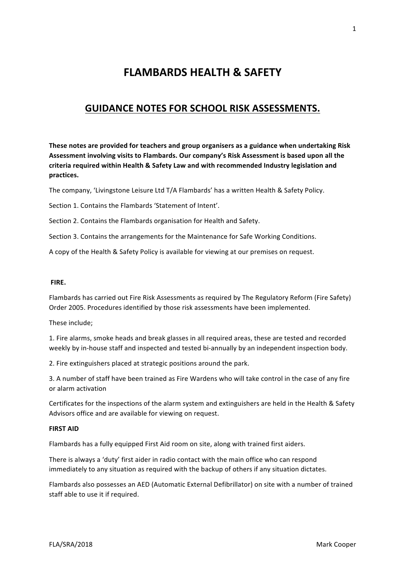# **FLAMBARDS HEALTH & SAFETY**

## **GUIDANCE NOTES FOR SCHOOL RISK ASSESSMENTS.**

These notes are provided for teachers and group organisers as a guidance when undertaking Risk Assessment involving visits to Flambards. Our company's Risk Assessment is based upon all the criteria required within Health & Safety Law and with recommended Industry legislation and **practices.** 

The company, 'Livingstone Leisure Ltd T/A Flambards' has a written Health & Safety Policy.

Section 1. Contains the Flambards 'Statement of Intent'.

Section 2. Contains the Flambards organisation for Health and Safety.

Section 3. Contains the arrangements for the Maintenance for Safe Working Conditions.

A copy of the Health & Safety Policy is available for viewing at our premises on request.

#### **FIRE.**

Flambards has carried out Fire Risk Assessments as required by The Regulatory Reform (Fire Safety) Order 2005. Procedures identified by those risk assessments have been implemented.

These include:

1. Fire alarms, smoke heads and break glasses in all required areas, these are tested and recorded weekly by in-house staff and inspected and tested bi-annually by an independent inspection body.

2. Fire extinguishers placed at strategic positions around the park.

3. A number of staff have been trained as Fire Wardens who will take control in the case of any fire or alarm activation 

Certificates for the inspections of the alarm system and extinguishers are held in the Health & Safety Advisors office and are available for viewing on request.

#### **FIRST AID**

Flambards has a fully equipped First Aid room on site, along with trained first aiders.

There is always a 'duty' first aider in radio contact with the main office who can respond immediately to any situation as required with the backup of others if any situation dictates.

Flambards also possesses an AED (Automatic External Defibrillator) on site with a number of trained staff able to use it if required.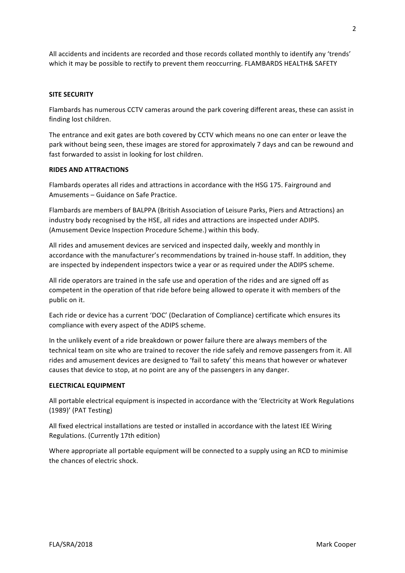All accidents and incidents are recorded and those records collated monthly to identify any 'trends' which it may be possible to rectify to prevent them reoccurring. FLAMBARDS HEALTH& SAFETY

#### **SITE SECURITY**

Flambards has numerous CCTV cameras around the park covering different areas, these can assist in finding lost children.

The entrance and exit gates are both covered by CCTV which means no one can enter or leave the park without being seen, these images are stored for approximately 7 days and can be rewound and fast forwarded to assist in looking for lost children.

#### **RIDES AND ATTRACTIONS**

Flambards operates all rides and attractions in accordance with the HSG 175. Fairground and Amusements – Guidance on Safe Practice.

Flambards are members of BALPPA (British Association of Leisure Parks, Piers and Attractions) an industry body recognised by the HSE, all rides and attractions are inspected under ADIPS. (Amusement Device Inspection Procedure Scheme.) within this body.

All rides and amusement devices are serviced and inspected daily, weekly and monthly in accordance with the manufacturer's recommendations by trained in-house staff. In addition, they are inspected by independent inspectors twice a year or as required under the ADIPS scheme.

All ride operators are trained in the safe use and operation of the rides and are signed off as competent in the operation of that ride before being allowed to operate it with members of the public on it.

Each ride or device has a current 'DOC' (Declaration of Compliance) certificate which ensures its compliance with every aspect of the ADIPS scheme.

In the unlikely event of a ride breakdown or power failure there are always members of the technical team on site who are trained to recover the ride safely and remove passengers from it. All rides and amusement devices are designed to 'fail to safety' this means that however or whatever causes that device to stop, at no point are any of the passengers in any danger.

#### **ELECTRICAL EQUIPMENT**

All portable electrical equipment is inspected in accordance with the 'Electricity at Work Regulations (1989)' (PAT Testing)

All fixed electrical installations are tested or installed in accordance with the latest IEE Wiring Regulations. (Currently 17th edition)

Where appropriate all portable equipment will be connected to a supply using an RCD to minimise the chances of electric shock.